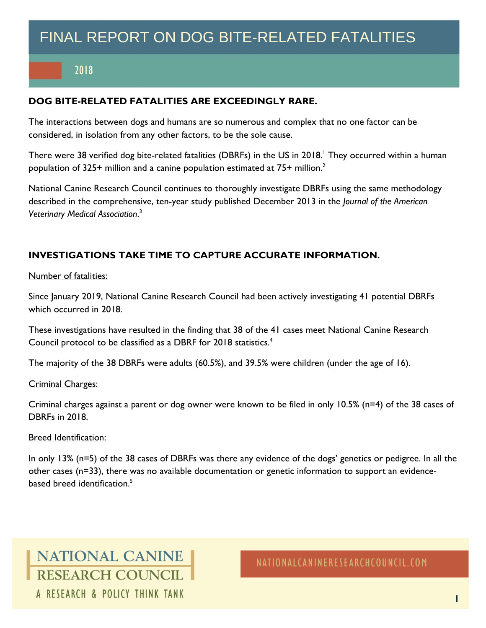# FINAL REPORT ON DOG BITE-RELATED FATALITIES

## 2018

### **DOG BITE-RELATED FATALITIES ARE EXCEEDINGLY RARE.**

The interactions between dogs and humans are so numerous and complex that no one factor can be considered, in isolation from any other factors, to be the sole cause.

There were 38 verified dog bite-related fatalities (DBRFs) in the US in 2018. <sup>1</sup> They occurred within a human population of 325+ million and a canine population estimated at 75+ million.<sup>2</sup>

National Canine Research Council continues to thoroughly investigate DBRFs using the same methodology described in the comprehensive, ten-year study published December 2013 in the *Journal of the American Veterinary Medical Association*. 3

### **INVESTIGATIONS TAKE TIME TO CAPTURE ACCURATE INFORMATION.**

### Number of fatalities:

Since January 2019, National Canine Research Council had been actively investigating 41 potential DBRFs which occurred in 2018.

These investigations have resulted in the finding that 38 of the 41 cases meet National Canine Research Council protocol to be classified as a DBRF for 2018 statistics.<sup>4</sup>

The majority of the 38 DBRFs were adults (60.5%), and 39.5% were children (under the age of 16).

### Criminal Charges:

Criminal charges against a parent or dog owner were known to be filed in only 10.5% (n=4) of the 38 cases of DBRFs in 2018.

### Breed Identification:

In only 13% (n=5) of the 38 cases of DBRFs was there any evidence of the dogs' genetics or pedigree. In all the other cases (n=33), there was no available documentation or genetic information to support an evidencebased breed identification. 5

# **NATIONAL CANINE** RESEARCH COUNCIL A RESEARCH & POLICY THINK TANK

NATIONALCANINERESEARCHCOUNCIL.COM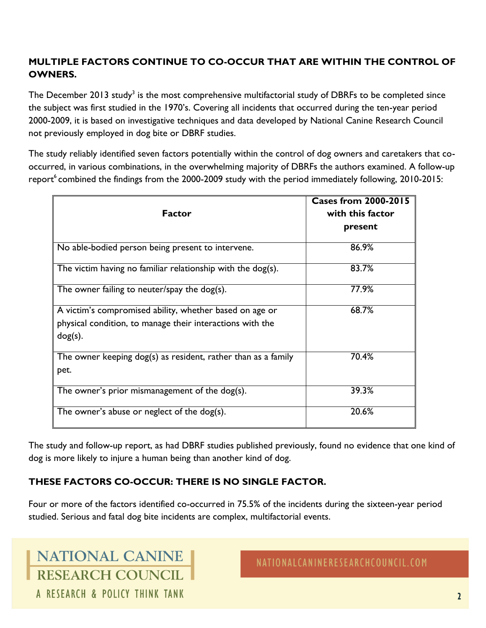## **MULTIPLE FACTORS CONTINUE TO CO-OCCUR THAT ARE WITHIN THE CONTROL OF OWNERS.**

The December 2013 study<sup>3</sup> is the most comprehensive multifactorial study of DBRFs to be completed since the subject was first studied in the 1970's. Covering all incidents that occurred during the ten-year period 2000-2009, it is based on investigative techniques and data developed by National Canine Research Council not previously employed in dog bite or DBRF studies.

The study reliably identified seven factors potentially within the control of dog owners and caretakers that cooccurred, in various combinations, in the overwhelming majority of DBRFs the authors examined. A follow-up report<sup>6</sup> combined the findings from the 2000-2009 study with the period immediately following, 2010-2015:

|                                                                 | <b>Cases from 2000-2015</b> |
|-----------------------------------------------------------------|-----------------------------|
| <b>Factor</b>                                                   | with this factor            |
|                                                                 | present                     |
|                                                                 |                             |
| No able-bodied person being present to intervene.               | 86.9%                       |
| The victim having no familiar relationship with the $\log(s)$ . | 83.7%                       |
| The owner failing to neuter/spay the dog(s).                    | 77.9%                       |
| A victim's compromised ability, whether based on age or         | 68.7%                       |
| physical condition, to manage their interactions with the       |                             |
| $dog(s)$ .                                                      |                             |
| The owner keeping dog(s) as resident, rather than as a family   | 70.4%                       |
| pet.                                                            |                             |
| The owner's prior mismanagement of the dog(s).                  | 39.3%                       |
| The owner's abuse or neglect of the dog(s).                     | 20.6%                       |

The study and follow-up report, as had DBRF studies published previously, found no evidence that one kind of dog is more likely to injure a human being than another kind of dog.

## **THESE FACTORS CO-OCCUR: THERE IS NO SINGLE FACTOR.**

Four or more of the factors identified co-occurred in 75.5% of the incidents during the sixteen-year period studied. Serious and fatal dog bite incidents are complex, multifactorial events.

**NATIONAL CANINE RESEARCH COUNCIL** A RESEARCH & POLICY THINK TANK

NATIONALCANINERESEARCHCOUNCIL.COM